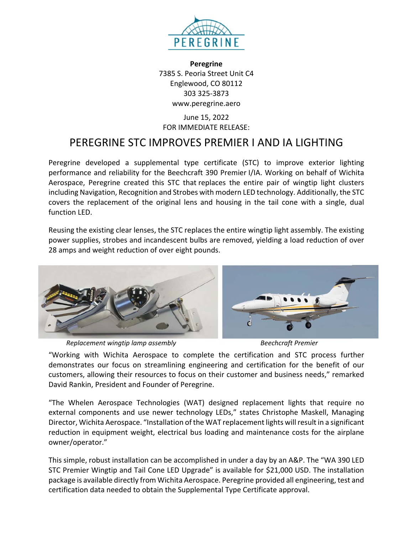

**Peregrine** 7385 S. Peoria Street Unit C4 Englewood, CO 80112 303 325‐3873 www.peregrine.aero

## June 15, 2022 FOR IMMEDIATE RELEASE:

## PEREGRINE STC IMPROVES PREMIER I AND IA LIGHTING

Peregrine developed a supplemental type certificate (STC) to improve exterior lighting performance and reliability for the Beechcraft 390 Premier I/IA. Working on behalf of Wichita Aerospace, Peregrine created this STC that replaces the entire pair of wingtip light clusters including Navigation, Recognition and Strobes with modern LED technology. Additionally, the STC covers the replacement of the original lens and housing in the tail cone with a single, dual function LED.

Reusing the existing clear lenses, the STC replaces the entire wingtip light assembly. The existing power supplies, strobes and incandescent bulbs are removed, yielding a load reduction of over 28 amps and weight reduction of over eight pounds.



*Replacement wingtip lamp assembly Beechcraft Premier* 



"Working with Wichita Aerospace to complete the certification and STC process further demonstrates our focus on streamlining engineering and certification for the benefit of our customers, allowing their resources to focus on their customer and business needs," remarked David Rankin, President and Founder of Peregrine.

"The Whelen Aerospace Technologies (WAT) designed replacement lights that require no external components and use newer technology LEDs," states Christophe Maskell, Managing Director, Wichita Aerospace. "Installation of the WAT replacement lights will result in a significant reduction in equipment weight, electrical bus loading and maintenance costs for the airplane owner/operator."

This simple, robust installation can be accomplished in under a day by an A&P. The "WA 390 LED STC Premier Wingtip and Tail Cone LED Upgrade" is available for \$21,000 USD. The installation package is available directly from Wichita Aerospace. Peregrine provided all engineering, test and certification data needed to obtain the Supplemental Type Certificate approval.